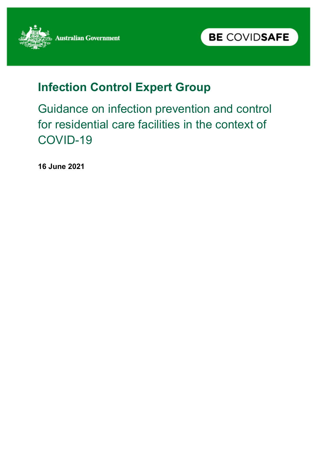



# **Infection Control Expert Group**

Guidance on infection prevention and control for residential care facilities in the context of COVID-19

**16 June 2021**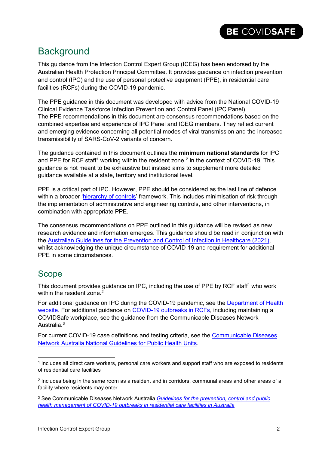### **Background**

This guidance from the Infection Control Expert Group (ICEG) has been endorsed by the Australian Health Protection Principal Committee. It provides guidance on infection prevention and control (IPC) and the use of personal protective equipment (PPE), in residential care facilities (RCFs) during the COVID-19 pandemic.

The PPE guidance in this document was developed with advice from the National COVID-19 Clinical Evidence Taskforce Infection Prevention and Control Panel (IPC Panel). The PPE recommendations in this document are consensus recommendations based on the combined expertise and experience of IPC Panel and ICEG members. They reflect current and emerging evidence concerning all potential modes of viral transmission and the increased transmissibility of SARS-CoV-2 variants of concern.

The guidance contained in this document outlines the **minimum national standards** for IPC and PPE for RCF staff<sup>[1](#page-1-0)</sup> working within the resident zone,<sup>[2](#page-1-1)</sup> in the context of COVID-19. This guidance is not meant to be exhaustive but instead aims to supplement more detailed guidance available at a state, territory and institutional level.

PPE is a critical part of IPC. However, PPE should be considered as the last line of defence within a broader ['hierarchy of controls'](https://www.health.gov.au/resources/publications/minimising-the-risk-of-infectious-respiratory-disease-transmission-in-the-context-of-covid-19-the-hierarchy-of-controls) framework. This includes minimisation of risk through the implementation of administrative and engineering controls, and other interventions, in combination with appropriate PPE.

The consensus recommendations on PPE outlined in this guidance will be revised as new research evidence and information emerges. This guidance should be read in conjunction with the [Australian Guidelines for the Prevention and Control of Infection in Healthcare \(2021\),](https://www.safetyandquality.gov.au/sites/default/files/2021-05/australian_guidelines_for_the_prevention_and_control_of_infection_in_health_care_-_current_version_-_v11.6_11_may_2021.pdf) whilst acknowledging the unique circumstance of COVID-19 and requirement for additional PPE in some circumstances.

### Scope

This document provides guidance on IPC, including the use of PPE by RCF staff<sup>1</sup> who work within the resident zone.<sup>2</sup>

For additional guidance on IPC during the COVID-19 pandemic, see the [Department of Health](https://www.health.gov.au/committees-and-groups/infection-control-expert-group-iceg)  [website.](https://www.health.gov.au/committees-and-groups/infection-control-expert-group-iceg) For additional guidance on [COVID-19 outbreaks in RCFs,](https://www.health.gov.au/resources/publications/cdna-national-guidelines-for-the-prevention-control-and-public-health-management-of-covid-19-outbreaks-in-residential-care-facilities-in-australia) including maintaining a COVIDSafe workplace, see the guidance from the Communicable Diseases Network Australia.[3](#page-1-2)

For current COVID-19 case definitions and testing criteria, see the [Communicable Diseases](https://www1.health.gov.au/internet/main/publishing.nsf/Content/cdna-song-novel-coronavirus.htm)  [Network Australia National Guidelines for Public Health Units.](https://www1.health.gov.au/internet/main/publishing.nsf/Content/cdna-song-novel-coronavirus.htm)

<span id="page-1-0"></span> <sup>1</sup> Includes all direct care workers, personal care workers and support staff who are exposed to residents of residential care facilities

<span id="page-1-1"></span><sup>2</sup> Includes being in the same room as a resident and in corridors, communal areas and other areas of a facility where residents may enter

<span id="page-1-2"></span><sup>3</sup> See Communicable Diseases Network Australia *[Guidelines for the prevention, control and public](https://www.health.gov.au/resources/publications/coronavirus-covid-19-guidelines-for-outbreaks-in-residential-care-facilities)  [health management of COVID-19 outbreaks in residential care facilities in Australia](https://www.health.gov.au/resources/publications/coronavirus-covid-19-guidelines-for-outbreaks-in-residential-care-facilities)*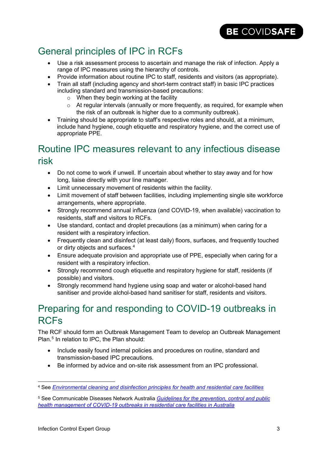## General principles of IPC in RCFs

- Use a risk assessment process to ascertain and manage the risk of infection. Apply a range of IPC measures using the hierarchy of controls.
- Provide information about routine IPC to staff, residents and visitors (as appropriate).
- Train all staff (including agency and short-term contract staff) in basic IPC practices including standard and transmission-based precautions:
	- $\circ$  When they begin working at the facility
	- $\circ$  At regular intervals (annually or more frequently, as required, for example when the risk of an outbreak is higher due to a community outbreak).
- Training should be appropriate to staff's respective roles and should, at a minimum, include hand hygiene, cough etiquette and respiratory hygiene, and the correct use of appropriate PPE.

## Routine IPC measures relevant to any infectious disease risk

- Do not come to work if unwell. If uncertain about whether to stay away and for how long, liaise directly with your line manager.
- Limit unnecessary movement of residents within the facility.
- Limit movement of staff between facilities, including implementing single site workforce arrangements, where appropriate.
- Strongly recommend annual influenza (and COVID-19, when available) vaccination to residents, staff and visitors to RCFs.
- Use standard, contact and droplet precautions (as a minimum) when caring for a resident with a respiratory infection.
- Frequently clean and disinfect (at least daily) floors, surfaces, and frequently touched or dirty objects and surfaces.[4](#page-2-0)
- Ensure adequate provision and appropriate use of PPE, especially when caring for a resident with a respiratory infection.
- Strongly recommend cough etiquette and respiratory hygiene for staff, residents (if possible) and visitors.
- Strongly recommend hand hygiene using soap and water or alcohol-based hand sanitiser and provide alchol-based hand sanitiser for staff, residents and visitors.

## Preparing for and responding to COVID-19 outbreaks in RCFs

The RCF should form an Outbreak Management Team to develop an Outbreak Management Plan.<sup>[5](#page-2-1)</sup> In relation to IPC, the Plan should:

- Include easily found internal policies and procedures on routine, standard and transmission-based IPC precautions.
- Be informed by advice and on-site risk assessment from an IPC professional.

<span id="page-2-0"></span> <sup>4</sup> See *Environmental [cleaning and disinfection principles for health and residential care facilities](https://www.health.gov.au/resources/publications/coronavirus-covid-19-environmental-cleaning-and-disinfection-principles-for-health-and-residential-care-facilities)*

<span id="page-2-1"></span><sup>5</sup> See Communicable Diseases Network Australia *[Guidelines for the prevention, control and public](https://www.health.gov.au/resources/publications/coronavirus-covid-19-guidelines-for-outbreaks-in-residential-care-facilities)  [health management of COVID-19 outbreaks in residential care facilities in Australia](https://www.health.gov.au/resources/publications/coronavirus-covid-19-guidelines-for-outbreaks-in-residential-care-facilities)*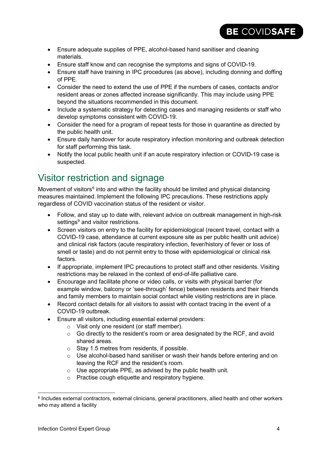- Ensure adequate supplies of PPE, alcohol-based hand sanitiser and cleaning materials.
- Ensure staff know and can recognise the symptoms and signs of COVID-19.
- Ensure staff have training in IPC procedures (as above), including donning and doffing of PPE.
- Consider the need to extend the use of PPE if the numbers of cases, contacts and/or resident areas or zones affected increase significantly. This may include using PPE beyond the situations recommended in this document.
- Include a systematic strategy for detecting cases and managing residents or staff who develop symptoms consistent with COVID-19.
- Consider the need for a program of repeat tests for those in quarantine as directed by the public health unit.
- Ensure daily handover for acute respiratory infection monitoring and outbreak detection for staff performing this task.
- Notify the local public health unit if an acute respiratory infection or COVID-19 case is suspected.

### Visitor restriction and signage

Movement of visitors<sup>[6](#page-3-0)</sup> into and within the facility should be limited and physical distancing measures maintained. Implement the following IPC precautions. These restrictions apply regardless of COVID vaccination status of the resident or visitor.

- Follow, and stay up to date with, relevant advice on outbreak management in high-risk settings<sup>9</sup> and visitor restrictions.
- Screen visitors on entry to the facility for epidemiological (recent travel, contact with a COVID-19 case, attendance at current exposure site as per public health unit advice) and clinical risk factors (acute respiratory infection, fever/history of fever or loss of smell or taste) and do not permit entry to those with epidemiological or clinical risk factors.
- If appropriate, implement IPC precautions to protect staff and other residents. Visiting restrictions may be relaxed in the context of end-of-life palliative care.
- Encourage and facilitate phone or video calls, or visits with physical barrier (for example window, balcony or 'see-through' fence) between residents and their friends and family members to maintain social contact while visiting restrictions are in place.
- Record contact details for all visitors to assist with contact tracing in the event of a COVID-19 outbreak.
- Ensure all visitors, including essential external providers:
	- o Visit only one resident (or staff member).
	- $\circ$  Go directly to the resident's room or area designated by the RCF, and avoid shared areas.
	- o Stay 1.5 metres from residents, if possible.
	- o Use alcohol-based hand sanitiser or wash their hands before entering and on leaving the RCF and the resident's room.
	- $\circ$  Use appropriate PPE, as advised by the public health unit.
	- o Practise cough etiquette and respiratory hygiene.

<span id="page-3-0"></span> <sup>6</sup> Includes external contractors, external clinicians, general practitioners, allied health and other workers who may attend a facility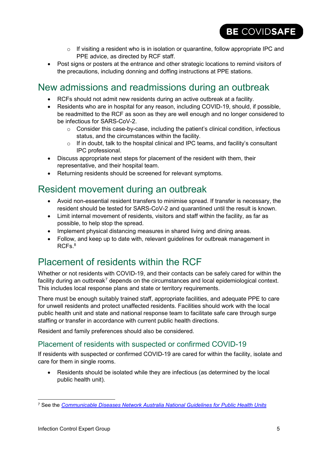- o If visiting a resident who is in isolation or quarantine, follow appropriate IPC and PPE advice, as directed by RCF staff.
- Post signs or posters at the entrance and other strategic locations to remind visitors of the precautions, including donning and doffing instructions at PPE stations.

### New admissions and readmissions during an outbreak

- RCFs should not admit new residents during an active outbreak at a facility.
- Residents who are in hospital for any reason, including COVID-19, should, if possible, be readmitted to the RCF as soon as they are well enough and no longer considered to be infectious for SARS-CoV-2.
	- $\circ$  Consider this case-by-case, including the patient's clinical condition, infectious status, and the circumstances within the facility.
	- o If in doubt, talk to the hospital clinical and IPC teams, and facility's consultant IPC professional.
- Discuss appropriate next steps for placement of the resident with them, their representative, and their hospital team.
- Returning residents should be screened for relevant symptoms.

### Resident movement during an outbreak

- Avoid non-essential resident transfers to minimise spread. If transfer is necessary, the resident should be tested for SARS-CoV-2 and quarantined until the result is known.
- Limit internal movement of residents, visitors and staff within the facility, as far as possible, to help stop the spread.
- Implement physical distancing measures in shared living and dining areas.
- Follow, and keep up to date with, relevant guidelines for outbreak management in RCFs $8$

## Placement of residents within the RCF

Whether or not residents with COVID-19, and their contacts can be safely cared for within the facility during an outbreak<sup>[7](#page-4-0)</sup> depends on the circumstances and local epidemiological context. This includes local response plans and state or territory requirements.

There must be enough suitably trained staff, appropriate facilities, and adequate PPE to care for unwell residents and protect unaffected residents. Facilities should work with the local public health unit and state and national response team to facilitate safe care through surge staffing or transfer in accordance with current public health directions.

Resident and family preferences should also be considered.

### Placement of residents with suspected or confirmed COVID-19

If residents with suspected or confirmed COVID-19 are cared for within the facility, isolate and care for them in single rooms.

• Residents should be isolated while they are infectious (as determined by the local public health unit).

<span id="page-4-0"></span> <sup>7</sup> See the *[Communicable Diseases Network Australia National Guidelines for Public Health Units](https://www1.health.gov.au/internet/main/publishing.nsf/Content/cdna-song-novel-coronavirus.htm)*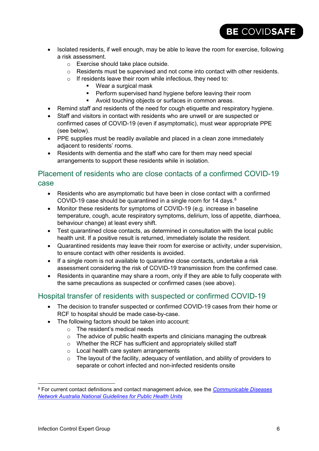- Isolated residents, if well enough, may be able to leave the room for exercise, following a risk assessment.
	- o Exercise should take place outside.
	- $\circ$  Residents must be supervised and not come into contact with other residents.

- $\circ$  If residents leave their room while infectious, they need to:
	- Wear a surgical mask
	- **Perform supervised hand hygiene before leaving their room**
	- Avoid touching objects or surfaces in common areas.
- Remind staff and residents of the need for cough etiquette and respiratory hygiene.
- Staff and visitors in contact with residents who are unwell or are suspected or confirmed cases of COVID-19 (even if asymptomatic), must wear appropriate PPE (see below).
- PPE supplies must be readily available and placed in a clean zone immediately adjacent to residents' rooms.
- Residents with dementia and the staff who care for them may need special arrangements to support these residents while in isolation.

### Placement of residents who are close contacts of a confirmed COVID-19 case

- Residents who are asymptomatic but have been in close contact with a confirmed COVID-19 case should be quarantined in a single room for 14 days.<sup>[8](#page-5-0)</sup>
- Monitor these residents for symptoms of COVID-19 (e.g. increase in baseline temperature, cough, acute respiratory symptoms, delirium, loss of appetite, diarrhoea, behaviour change) at least every shift.
- Test quarantined close contacts, as determined in consultation with the local public health unit. If a positive result is returned, immediately isolate the resident.
- Quarantined residents may leave their room for exercise or activity, under supervision, to ensure contact with other residents is avoided.
- If a single room is not available to quarantine close contacts, undertake a risk assessment considering the risk of COVID-19 transmission from the confirmed case.
- Residents in quarantine may share a room, only if they are able to fully cooperate with the same precautions as suspected or confirmed cases (see above).

### Hospital transfer of residents with suspected or confirmed COVID-19

- The decision to transfer suspected or confirmed COVID-19 cases from their home or RCF to hospital should be made case-by-case.
- The following factors should be taken into account:
	- o The resident's medical needs
	- $\circ$  The advice of public health experts and clinicians managing the outbreak
	- o Whether the RCF has sufficient and appropriately skilled staff
	- o Local health care system arrangements
	- $\circ$  The layout of the facility, adequacy of ventilation, and ability of providers to separate or cohort infected and non-infected residents onsite

<span id="page-5-0"></span> <sup>8</sup> For current contact definitions and contact management advice, see the *[Communicable Diseases](https://www1.health.gov.au/internet/main/publishing.nsf/Content/cdna-song-novel-coronavirus.htm)  [Network Australia National Guidelines for Public Health Units](https://www1.health.gov.au/internet/main/publishing.nsf/Content/cdna-song-novel-coronavirus.htm)*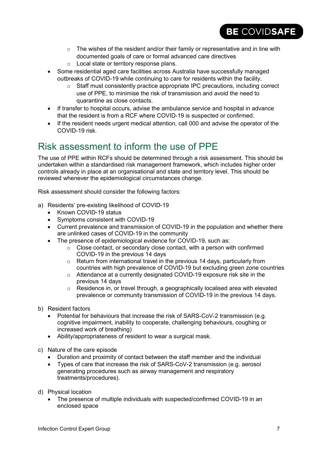$\circ$  The wishes of the resident and/or their family or representative and in line with documented goals of care or formal advanced care directives

BE COVIDSAFE

- o Local state or territory response plans.
- Some residential aged care facilities across Australia have successfully managed outbreaks of COVID-19 while continuing to care for residents within the facility.
	- o Staff must consistently practice appropriate IPC precautions, including correct use of PPE, to minimise the risk of transmission and avoid the need to quarantine as close contacts.
- If transfer to hospital occurs, advise the ambulance service and hospital in advance that the resident is from a RCF where COVID-19 is suspected or confirmed.
- If the resident needs urgent medical attention, call 000 and advise the operator of the COVID-19 risk.

### Risk assessment to inform the use of PPE

The use of PPE within RCFs should be determined through a risk assessment. This should be undertaken within a standardised risk management framework, which includes higher order controls already in place at an organisational and state and territory level. This should be reviewed whenever the epidemiological circumstances change.

Risk assessment should consider the following factors:

- a) Residents' pre-existing likelihood of COVID-19
	- Known COVID-19 status
	- Symptoms consistent with COVID-19
	- Current prevalence and transmission of COVID-19 in the population and whether there are unlinked cases of COVID-19 in the community
	- The presence of epidemiological evidence for COVID-19, such as:
		- $\circ$  Close contact, or secondary close contact, with a person with confirmed COVID-19 in the previous 14 days
		- o Return from international travel in the previous 14 days, particularly from countries with high prevalence of COVID-19 but excluding green zone countries
		- o Attendance at a currently designated COVID-19 exposure risk site in the previous 14 days
		- $\circ$  Residence in, or travel through, a geographically localised area with elevated prevalence or community transmission of COVID-19 in the previous 14 days.
- b) Resident factors
	- Potential for behaviours that increase the risk of SARS-CoV-2 transmission (e.g. cognitive impairment, inability to cooperate, challenging behaviours, coughing or increased work of breathing)
	- Ability/appropriateness of resident to wear a surgical mask.
- c) Nature of the care episode
	- Duration and proximity of contact between the staff member and the individual
	- Types of care that increase the risk of SARS-CoV-2 transmission (e.g. aerosol generating procedures such as airway management and respiratory treatments/procedures).
- d) Physical location
	- The presence of multiple individuals with suspected/confirmed COVID-19 in an enclosed space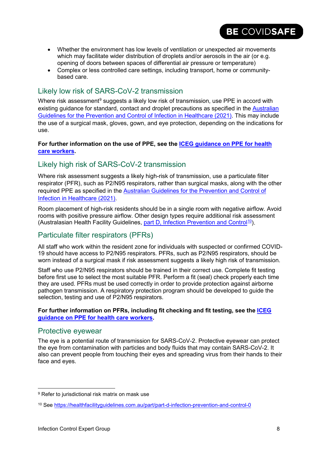- Whether the environment has low levels of ventilation or unexpected air movements which may facilitate wider distribution of droplets and/or aerosols in the air (or e.g. opening of doors between spaces of differential air pressure or temperature)
- Complex or less controlled care settings, including transport, home or communitybased care.

### Likely low risk of SARS-CoV-2 transmission

Where risk assessment $9$  suggests a likely low risk of transmission, use PPE in accord with existing guidance for standard, contact and droplet precautions as specified in the [Australian](https://www.safetyandquality.gov.au/sites/default/files/2021-05/australian_guidelines_for_the_prevention_and_control_of_infection_in_health_care_-_current_version_-_v11.6_11_may_2021.pdf)  [Guidelines for the Prevention and Control of Infection in Healthcare \(2021\).](https://www.safetyandquality.gov.au/sites/default/files/2021-05/australian_guidelines_for_the_prevention_and_control_of_infection_in_health_care_-_current_version_-_v11.6_11_may_2021.pdf) This may include the use of a surgical mask, gloves, gown, and eye protection, depending on the indications for use.

#### **For further information on the use of PPE, see the [ICEG guidance on PPE for health](https://www.health.gov.au/resources/publications/guidance-on-the-use-of-personal-protective-equipment-ppe-for-health-care-workers-in-the-context-of-covid-19)  [care workers.](https://www.health.gov.au/resources/publications/guidance-on-the-use-of-personal-protective-equipment-ppe-for-health-care-workers-in-the-context-of-covid-19)**

### Likely high risk of SARS-CoV-2 transmission

Where risk assessment suggests a likely high-risk of transmission, use a particulate filter respirator (PFR), such as P2/N95 respirators, rather than surgical masks, along with the other required PPE as specified in the [Australian Guidelines for the Prevention and Control of](https://www.safetyandquality.gov.au/sites/default/files/2021-05/australian_guidelines_for_the_prevention_and_control_of_infection_in_health_care_-_current_version_-_v11.6_11_may_2021.pdf)  [Infection in Healthcare \(2021\).](https://www.safetyandquality.gov.au/sites/default/files/2021-05/australian_guidelines_for_the_prevention_and_control_of_infection_in_health_care_-_current_version_-_v11.6_11_may_2021.pdf)

Room placement of high-risk residents should be in a single room with negative airflow. Avoid rooms with positive pressure airflow. Other design types require additional risk assessment (Australasian Health Facility Guidelines, [part D, Infection Prevention and Control](https://healthfacilityguidelines.com.au/part/part-d-infection-prevention-and-control-0)<sup>10</sup>).

### Particulate filter respirators (PFRs)

All staff who work within the resident zone for individuals with suspected or confirmed COVID-19 should have access to P2/N95 respirators. PFRs, such as P2/N95 respirators, should be worn instead of a surgical mask if risk assessment suggests a likely high risk of transmission.

Staff who use P2/N95 respirators should be trained in their correct use. Complete fit testing before first use to select the most suitable PFR. Perform a fit (seal) check properly each time they are used. PFRs must be used correctly in order to provide protection against airborne pathogen transmission. A respiratory protection program should be developed to guide the selection, testing and use of P2/N95 respirators.

#### **For further information on PFRs, including fit checking and fit testing, see the [ICEG](https://www.health.gov.au/resources/publications/guidance-on-the-use-of-personal-protective-equipment-ppe-for-health-care-workers-in-the-context-of-covid-19)  [guidance on PPE for health care workers.](https://www.health.gov.au/resources/publications/guidance-on-the-use-of-personal-protective-equipment-ppe-for-health-care-workers-in-the-context-of-covid-19)**

#### Protective eyewear

The eye is a potential route of transmission for SARS-CoV-2. Protective eyewear can protect the eye from contamination with particles and body fluids that may contain SARS-CoV-2. It also can prevent people from touching their eyes and spreading virus from their hands to their face and eyes.

BE COVIDSAFE

<span id="page-7-0"></span><sup>&</sup>lt;sup>9</sup> Refer to jurisdictional risk matrix on mask use

<span id="page-7-1"></span><sup>10</sup> See<https://healthfacilityguidelines.com.au/part/part-d-infection-prevention-and-control-0>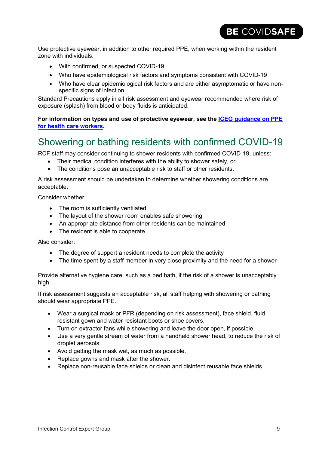Use protective eyewear, in addition to other required PPE, when working within the resident zone with individuals:

- With confirmed, or suspected COVID-19
- Who have epidemiological risk factors and symptoms consistent with COVID-19
- Who have clear epidemiological risk factors and are either asymptomatic or have nonspecific signs of infection.

Standard Precautions apply in all risk assessment and eyewear recommended where risk of exposure (splash) from blood or body fluids is anticipated.

**For information on types and use of protective eyewear, see the [ICEG guidance](https://www.health.gov.au/resources/publications/guidance-on-the-use-of-personal-protective-equipment-ppe-for-health-care-workers-in-the-context-of-covid-19) on PPE [for health care workers.](https://www.health.gov.au/resources/publications/guidance-on-the-use-of-personal-protective-equipment-ppe-for-health-care-workers-in-the-context-of-covid-19)** 

### Showering or bathing residents with confirmed COVID-19

RCF staff may consider continuing to shower residents with confirmed COVID-19, unless:

- Their medical condition interferes with the ability to shower safely, or
- The conditions pose an unacceptable risk to staff or other residents.

A risk assessment should be undertaken to determine whether showering conditions are acceptable.

Consider whether:

- The room is sufficiently ventilated
- The layout of the shower room enables safe showering
- An appropriate distance from other residents can be maintained
- The resident is able to cooperate

Also consider:

- The degree of support a resident needs to complete the activity
- The time spent by a staff member in very close proximity and the need for a shower

Provide alternative hygiene care, such as a bed bath, if the risk of a shower is unacceptably high.

If risk assessment suggests an acceptable risk, all staff helping with showering or bathing should wear appropriate PPE.

- Wear a surgical mask or PFR (depending on risk assessment), face shield, fluid resistant gown and water resistant boots or shoe covers.
- Turn on extractor fans while showering and leave the door open, if possible.
- Use a very gentle stream of water from a handheld shower head, to reduce the risk of droplet aerosols.
- Avoid getting the mask wet, as much as possible.
- Replace gowns and mask after the shower.
- Replace non-reusable face shields or clean and disinfect reusable face shields.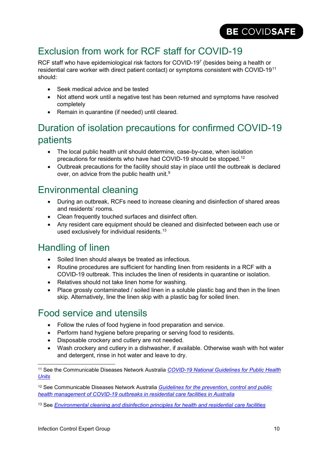## Exclusion from work for RCF staff for COVID-19

RCF staff who have epidemiological risk factors for COVID-19<sup>7</sup> (besides being a health or residential care worker with direct patient contact) or symptoms consistent with COVID-19<sup>[11](#page-9-0)</sup> should:

- Seek medical advice and be tested
- Not attend work until a negative test has been returned and symptoms have resolved completely
- Remain in quarantine (if needed) until cleared.

### Duration of isolation precautions for confirmed COVID-19 patients

- The local public health unit should determine, case-by-case, when isolation precautions for residents who have had COVID-19 should be stopped.<sup>[12](#page-9-1)</sup>
- Outbreak precautions for the facility should stay in place until the outbreak is declared over, on advice from the public health unit.<sup>9</sup>

### Environmental cleaning

- During an outbreak, RCFs need to increase cleaning and disinfection of shared areas and residents' rooms.
- Clean frequently touched surfaces and disinfect often.
- Any resident care equipment should be cleaned and disinfected between each use or used exclusively for individual residents.<sup>[13](#page-9-2)</sup>

### Handling of linen

- Soiled linen should always be treated as infectious.
- Routine procedures are sufficient for handling linen from residents in a RCF with a COVID-19 outbreak. This includes the linen of residents in quarantine or isolation.
- Relatives should not take linen home for washing.
- Place grossly contaminated / soiled linen in a soluble plastic bag and then in the linen skip. Alternatively, line the linen skip with a plastic bag for soiled linen.

### Food service and utensils

- Follow the rules of food hygiene in food preparation and service.
- Perform hand hygiene before preparing or serving food to residents.
- Disposable crockery and cutlery are not needed.
- Wash crockery and cutlery in a dishwasher, if available. Otherwise wash with hot water and detergent, rinse in hot water and leave to dry.

<span id="page-9-0"></span> <sup>11</sup> See the Communicable Diseases Network Australia *[COVID-19 National Guidelines for Public Health](https://www1.health.gov.au/internet/main/publishing.nsf/Content/cdna-song-novel-coronavirus.htm)  [Units](https://www1.health.gov.au/internet/main/publishing.nsf/Content/cdna-song-novel-coronavirus.htm)*

<span id="page-9-1"></span><sup>12</sup> See Communicable Diseases Network Australia *[Guidelines for the prevention, control and public](https://www.health.gov.au/resources/publications/coronavirus-covid-19-guidelines-for-outbreaks-in-residential-care-facilities)  [health management of COVID-19 outbreaks in residential care facilities in Australia](https://www.health.gov.au/resources/publications/coronavirus-covid-19-guidelines-for-outbreaks-in-residential-care-facilities)*

<span id="page-9-2"></span><sup>13</sup> See *[Environmental cleaning and disinfection principles for health and residential care facilities](https://www.health.gov.au/resources/publications/coronavirus-covid-19-environmental-cleaning-and-disinfection-principles-for-health-and-residential-care-facilities)*